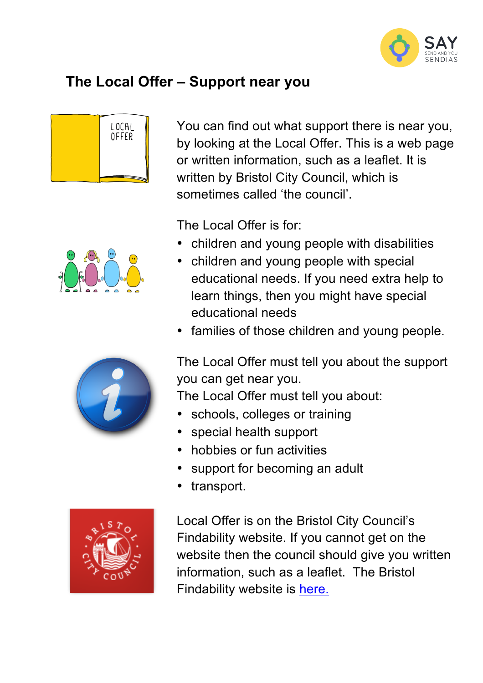

## **The Local Offer – Support near you**









You can find out what support there is near you, by looking at the Local Offer. This is a web page or written information, such as a leaflet. It is written by Bristol City Council, which is sometimes called 'the council'.

The Local Offer is for:

- children and young people with disabilities
- children and young people with special educational needs. If you need extra help to learn things, then you might have special educational needs
- families of those children and young people.

The Local Offer must tell you about the support you can get near you.

The Local Offer must tell you about:

- schools, colleges or training
- special health support
- hobbies or fun activities
- support for becoming an adult
- transport.

Local Offer is on the Bristol City Council's Findability website. If you cannot get on the website then the council should give you written information, such as a leaflet. The Bristol Findability website is here.